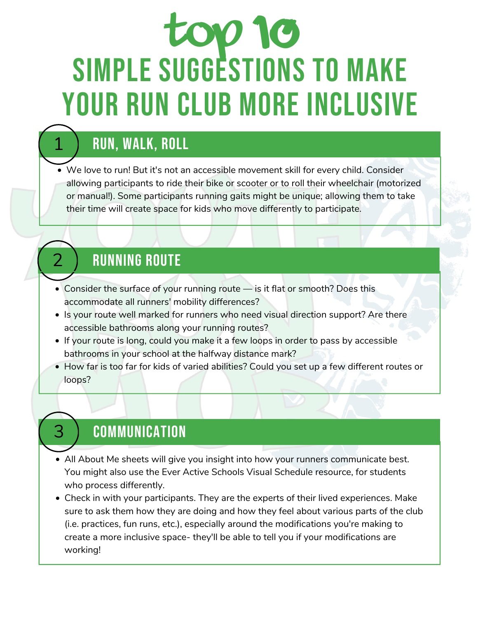# TOP 10 SIMPLE SUGGESTIONS TO MAKE YOUR RUN CLUB MORE INCLUSIVE

# RUN, WALK, ROLL

1

3

We love to run! But it's not an accessible movement skill for every child. Consider allowing participants to ride their bike or scooter or to roll their wheelchair (motorized or manual!). Some participants running gaits might be unique; allowing them to take their time will create space for kids who move differently to participate.

# **RUNNING ROUTE**

- Consider the surface of your running route is it flat or smooth? Does this accommodate all runners' mobility differences?
- Is your route well marked for runners who need visual direction support? Are there accessible bathrooms along your running routes?
- If your route is long, could you make it a few loops in order to pass by accessible bathrooms in your school at the halfway distance mark?
- How far is too far for kids of varied abilities? Could you set up a few different routes or loops?

## **COMMUNICATION**

- All About Me sheets will give you insight into how your runners communicate best. You might also use the Ever Active Schools Visual Schedule resource, for students who process differently.
- Check in with your participants. They are the experts of their lived experiences. Make sure to ask them how they are doing and how they feel about various parts of the club (i.e. practices, fun runs, etc.), especially around the modifications you're making to create a more inclusive space- they'll be able to tell you if your modifications are working!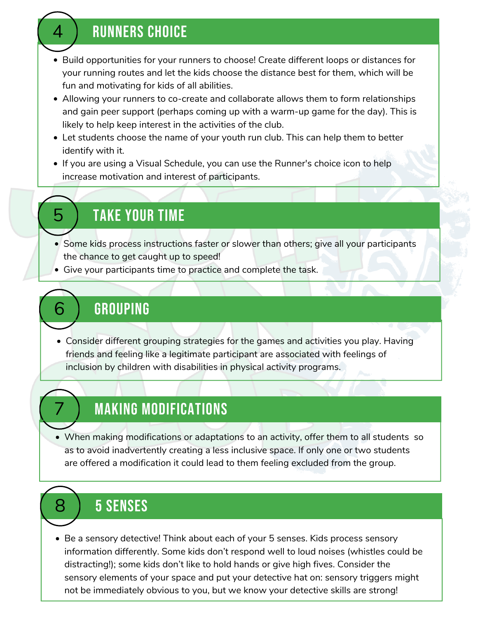#### **RUNNERS CHOICE**

- Build opportunities for your runners to choose! Create different loops or distances for your running routes and let the kids choose the distance best for them, which will be fun and motivating for kids of all abilities.
- Allowing your runners to co-create and collaborate allows them to form relationships and gain peer support (perhaps coming up with a warm-up game for the day). This is likely to help keep interest in the activities of the club.
- Let students choose the name of your youth run club. This can help them to better identify with it.
- If you are using a Visual Schedule, you can use the Runner's choice icon to help increase motivation and interest of participants.

# 5 TAKE YOUR TIME

- Some kids process instructions faster or slower than others; give all your participants the chance to get caught up to speed!
- Give your participants time to practice and complete the task.

#### **GROUPING**

Consider different grouping strategies for the games and activities you play. Having friends and feeling like a legitimate participant are associated with feelings of inclusion by children with disabilities in physical activity programs.

## **MAKING MODIFICATIONS**

When making modifications or adaptations to an activity, offer them to all students so as to avoid inadvertently creating a less inclusive space. If only one or two students are offered a modification it could lead to them feeling excluded from the group.

## 8 5 SENSES

Be a sensory detective! Think about each of your 5 senses. Kids process sensory information differently. Some kids don't respond well to loud noises (whistles could be distracting!); some kids don't like to hold hands or give high fives. Consider the sensory elements of your space and put your detective hat on: sensory triggers might not be immediately obvious to you, but we know your detective skills are strong!